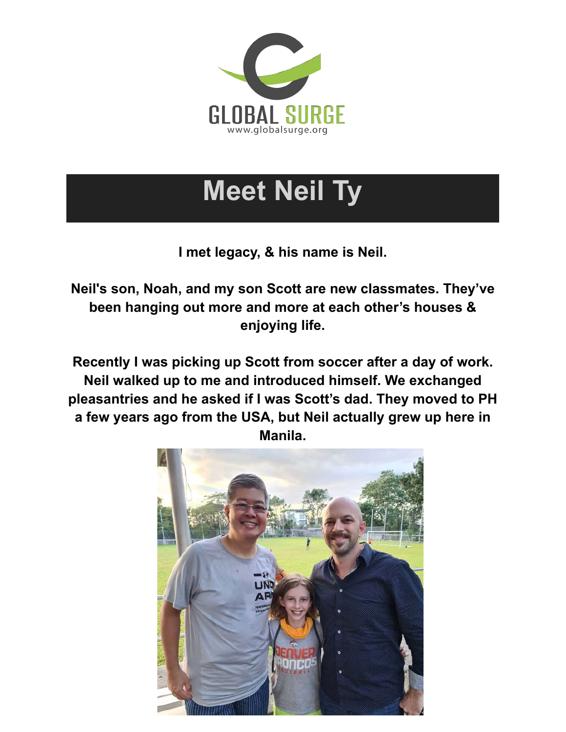

## **Meet Neil Ty**

**I met legacy, & his name is Neil.**

**Neil's son, Noah, and my son Scott are new classmates. They've been hanging out more and more at each other's houses & enjoying life.**

**Recently I was picking up Scott from soccer after a day of work. Neil walked up to me and introduced himself. We exchanged pleasantries and he asked if I was Scott's dad. They moved to PH a few years ago from the USA, but Neil actually grew up here in Manila.**

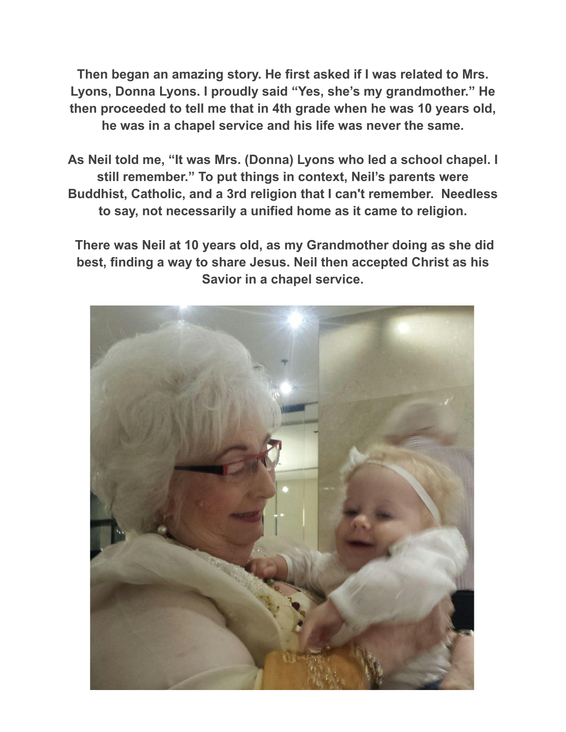**Then began an amazing story. He first asked if I was related to Mrs. Lyons, Donna Lyons. I proudly said "Yes, she's my grandmother." He then proceeded to tell me that in 4th grade when he was 10 years old, he was in a chapel service and his life was never the same.**

**As Neil told me, "It was Mrs. (Donna) Lyons who led a school chapel. I still remember." To put things in context, Neil's parents were Buddhist, Catholic, and a 3rd religion that I can't remember. Needless to say, not necessarily a unified home as it came to religion.**

**There was Neil at 10 years old, as my Grandmother doing as she did best, finding a way to share Jesus. Neil then accepted Christ as his Savior in a chapel service.**

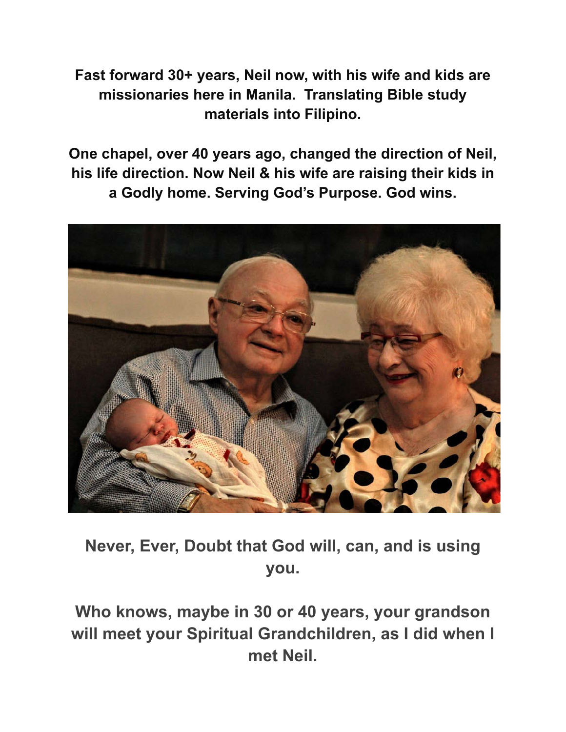**Fast forward 30+ years, Neil now, with his wife and kids are missionaries here in Manila. Translating Bible study materials into Filipino.**

**One chapel, over 40 years ago, changed the direction of Neil, his life direction. Now Neil & his wife are raising their kids in a Godly home. Serving God's Purpose. God wins.**



**Never, Ever, Doubt that God will, can, and is using you.**

**Who knows, maybe in 30 or 40 years, your grandson will meet your Spiritual Grandchildren, as I did when I met Neil.**